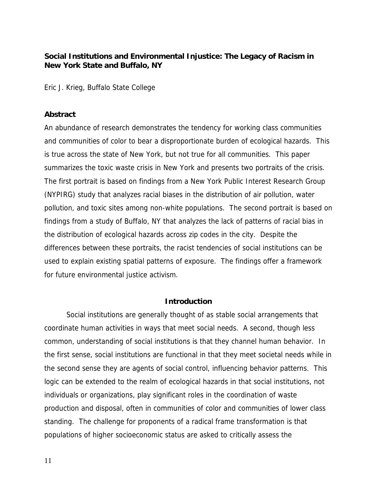## **Social Institutions and Environmental Injustice: The Legacy of Racism in New York State and Buffalo, NY**

Eric J. Krieg, Buffalo State College

## **Abstract**

An abundance of research demonstrates the tendency for working class communities and communities of color to bear a disproportionate burden of ecological hazards. This is true across the state of New York, but not true for all communities. This paper summarizes the toxic waste crisis in New York and presents two portraits of the crisis. The first portrait is based on findings from a New York Public Interest Research Group (NYPIRG) study that analyzes racial biases in the distribution of air pollution, water pollution, and toxic sites among non-white populations. The second portrait is based on findings from a study of Buffalo, NY that analyzes the lack of patterns of racial bias in the distribution of ecological hazards across zip codes in the city. Despite the differences between these portraits, the racist tendencies of social institutions can be used to explain existing spatial patterns of exposure. The findings offer a framework for future environmental justice activism.

### **Introduction**

Social institutions are generally thought of as stable social arrangements that coordinate human activities in ways that meet social needs. A second, though less common, understanding of social institutions is that they channel human behavior. In the first sense, social institutions are functional in that they meet societal needs while in the second sense they are agents of social control, influencing behavior patterns. This logic can be extended to the realm of ecological hazards in that social institutions, not individuals or organizations, play significant roles in the coordination of waste production and disposal, often in communities of color and communities of lower class standing. The challenge for proponents of a radical frame transformation is that populations of higher socioeconomic status are asked to critically assess the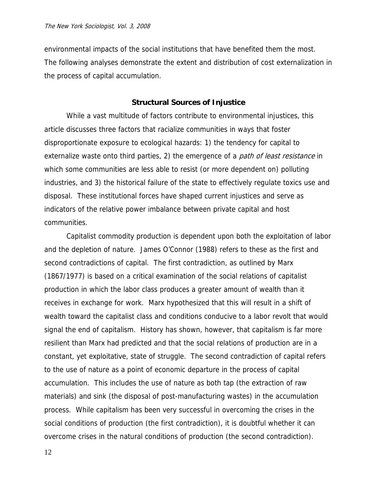environmental impacts of the social institutions that have benefited them the most. The following analyses demonstrate the extent and distribution of cost externalization in the process of capital accumulation.

### **Structural Sources of Injustice**

While a vast multitude of factors contribute to environmental injustices, this article discusses three factors that racialize communities in ways that foster disproportionate exposure to ecological hazards: 1) the tendency for capital to externalize waste onto third parties, 2) the emergence of a *path of least resistance* in which some communities are less able to resist (or more dependent on) polluting industries, and 3) the historical failure of the state to effectively regulate toxics use and disposal. These institutional forces have shaped current injustices and serve as indicators of the relative power imbalance between private capital and host communities.

Capitalist commodity production is dependent upon both the exploitation of labor and the depletion of nature. James O'Connor (1988) refers to these as the first and second contradictions of capital. The first contradiction, as outlined by Marx (1867/1977) is based on a critical examination of the social relations of capitalist production in which the labor class produces a greater amount of wealth than it receives in exchange for work. Marx hypothesized that this will result in a shift of wealth toward the capitalist class and conditions conducive to a labor revolt that would signal the end of capitalism. History has shown, however, that capitalism is far more resilient than Marx had predicted and that the social relations of production are in a constant, yet exploitative, state of struggle. The second contradiction of capital refers to the use of nature as a point of economic departure in the process of capital accumulation. This includes the use of nature as both tap (the extraction of raw materials) and sink (the disposal of post-manufacturing wastes) in the accumulation process. While capitalism has been very successful in overcoming the crises in the social conditions of production (the first contradiction), it is doubtful whether it can overcome crises in the natural conditions of production (the second contradiction).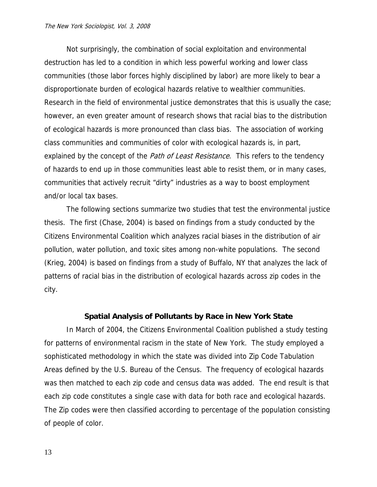#### The New York Sociologist, Vol. 3, 2008

Not surprisingly, the combination of social exploitation and environmental destruction has led to a condition in which less powerful working and lower class communities (those labor forces highly disciplined by labor) are more likely to bear a disproportionate burden of ecological hazards relative to wealthier communities. Research in the field of environmental justice demonstrates that this is usually the case; however, an even greater amount of research shows that racial bias to the distribution of ecological hazards is more pronounced than class bias. The association of working class communities and communities of color with ecological hazards is, in part, explained by the concept of the *Path of Least Resistance*. This refers to the tendency of hazards to end up in those communities least able to resist them, or in many cases, communities that actively recruit "dirty" industries as a way to boost employment and/or local tax bases.

The following sections summarize two studies that test the environmental justice thesis. The first (Chase, 2004) is based on findings from a study conducted by the Citizens Environmental Coalition which analyzes racial biases in the distribution of air pollution, water pollution, and toxic sites among non-white populations. The second (Krieg, 2004) is based on findings from a study of Buffalo, NY that analyzes the lack of patterns of racial bias in the distribution of ecological hazards across zip codes in the city.

### **Spatial Analysis of Pollutants by Race in New York State**

In March of 2004, the Citizens Environmental Coalition published a study testing for patterns of environmental racism in the state of New York. The study employed a sophisticated methodology in which the state was divided into Zip Code Tabulation Areas defined by the U.S. Bureau of the Census. The frequency of ecological hazards was then matched to each zip code and census data was added. The end result is that each zip code constitutes a single case with data for both race and ecological hazards. The Zip codes were then classified according to percentage of the population consisting of people of color.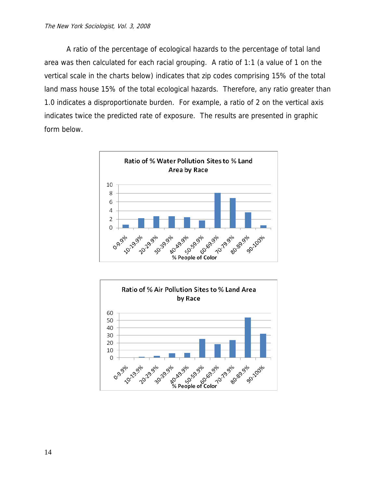A ratio of the percentage of ecological hazards to the percentage of total land area was then calculated for each racial grouping. A ratio of 1:1 (a value of 1 on the vertical scale in the charts below) indicates that zip codes comprising 15% of the total land mass house 15% of the total ecological hazards. Therefore, any ratio greater than 1.0 indicates a disproportionate burden. For example, a ratio of 2 on the vertical axis indicates twice the predicted rate of exposure. The results are presented in graphic form below.



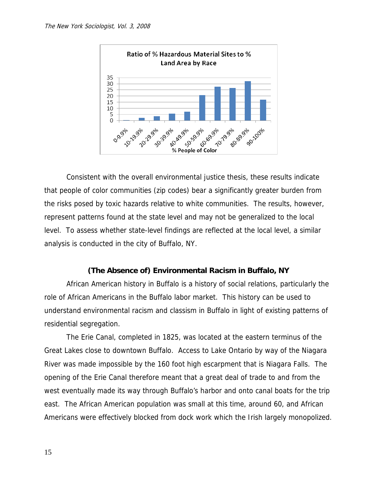

Consistent with the overall environmental justice thesis, these results indicate that people of color communities (zip codes) bear a significantly greater burden from the risks posed by toxic hazards relative to white communities. The results, however, represent patterns found at the state level and may not be generalized to the local level. To assess whether state-level findings are reflected at the local level, a similar analysis is conducted in the city of Buffalo, NY.

## **(The Absence of) Environmental Racism in Buffalo, NY**

African American history in Buffalo is a history of social relations, particularly the role of African Americans in the Buffalo labor market. This history can be used to understand environmental racism and classism in Buffalo in light of existing patterns of residential segregation.

The Erie Canal, completed in 1825, was located at the eastern terminus of the Great Lakes close to downtown Buffalo. Access to Lake Ontario by way of the Niagara River was made impossible by the 160 foot high escarpment that is Niagara Falls. The opening of the Erie Canal therefore meant that a great deal of trade to and from the west eventually made its way through Buffalo's harbor and onto canal boats for the trip east. The African American population was small at this time, around 60, and African Americans were effectively blocked from dock work which the Irish largely monopolized.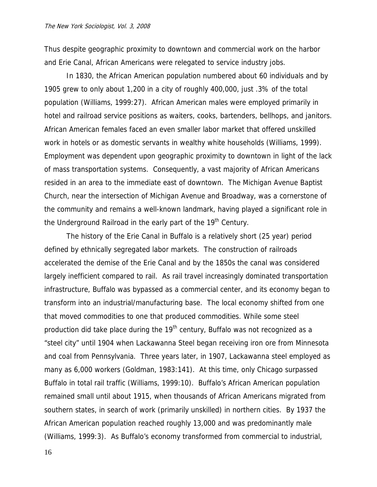Thus despite geographic proximity to downtown and commercial work on the harbor and Erie Canal, African Americans were relegated to service industry jobs.

In 1830, the African American population numbered about 60 individuals and by 1905 grew to only about 1,200 in a city of roughly 400,000, just .3% of the total population (Williams, 1999:27). African American males were employed primarily in hotel and railroad service positions as waiters, cooks, bartenders, bellhops, and janitors. African American females faced an even smaller labor market that offered unskilled work in hotels or as domestic servants in wealthy white households (Williams, 1999). Employment was dependent upon geographic proximity to downtown in light of the lack of mass transportation systems. Consequently, a vast majority of African Americans resided in an area to the immediate east of downtown. The Michigan Avenue Baptist Church, near the intersection of Michigan Avenue and Broadway, was a cornerstone of the community and remains a well-known landmark, having played a significant role in the Underground Railroad in the early part of the 19<sup>th</sup> Century.

The history of the Erie Canal in Buffalo is a relatively short (25 year) period defined by ethnically segregated labor markets. The construction of railroads accelerated the demise of the Erie Canal and by the 1850s the canal was considered largely inefficient compared to rail. As rail travel increasingly dominated transportation infrastructure, Buffalo was bypassed as a commercial center, and its economy began to transform into an industrial/manufacturing base. The local economy shifted from one that moved commodities to one that produced commodities. While some steel production did take place during the  $19<sup>th</sup>$  century, Buffalo was not recognized as a "steel city" until 1904 when Lackawanna Steel began receiving iron ore from Minnesota and coal from Pennsylvania. Three years later, in 1907, Lackawanna steel employed as many as 6,000 workers (Goldman, 1983:141). At this time, only Chicago surpassed Buffalo in total rail traffic (Williams, 1999:10). Buffalo's African American population remained small until about 1915, when thousands of African Americans migrated from southern states, in search of work (primarily unskilled) in northern cities. By 1937 the African American population reached roughly 13,000 and was predominantly male (Williams, 1999:3). As Buffalo's economy transformed from commercial to industrial,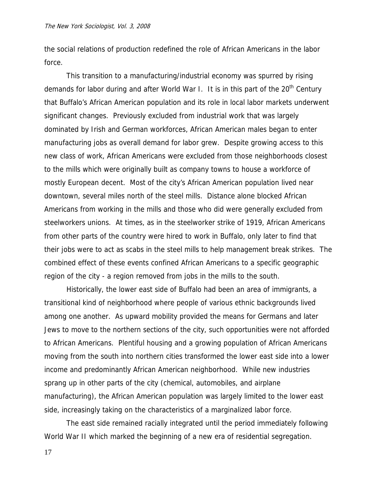the social relations of production redefined the role of African Americans in the labor force.

This transition to a manufacturing/industrial economy was spurred by rising demands for labor during and after World War I. It is in this part of the  $20<sup>th</sup>$  Century that Buffalo's African American population and its role in local labor markets underwent significant changes. Previously excluded from industrial work that was largely dominated by Irish and German workforces, African American males began to enter manufacturing jobs as overall demand for labor grew. Despite growing access to this new class of work, African Americans were excluded from those neighborhoods closest to the mills which were originally built as company towns to house a workforce of mostly European decent. Most of the city's African American population lived near downtown, several miles north of the steel mills. Distance alone blocked African Americans from working in the mills and those who did were generally excluded from steelworkers unions. At times, as in the steelworker strike of 1919, African Americans from other parts of the country were hired to work in Buffalo, only later to find that their jobs were to act as scabs in the steel mills to help management break strikes. The combined effect of these events confined African Americans to a specific geographic region of the city - a region removed from jobs in the mills to the south.

Historically, the lower east side of Buffalo had been an area of immigrants, a transitional kind of neighborhood where people of various ethnic backgrounds lived among one another. As upward mobility provided the means for Germans and later Jews to move to the northern sections of the city, such opportunities were not afforded to African Americans. Plentiful housing and a growing population of African Americans moving from the south into northern cities transformed the lower east side into a lower income and predominantly African American neighborhood. While new industries sprang up in other parts of the city (chemical, automobiles, and airplane manufacturing), the African American population was largely limited to the lower east side, increasingly taking on the characteristics of a marginalized labor force.

The east side remained racially integrated until the period immediately following World War II which marked the beginning of a new era of residential segregation.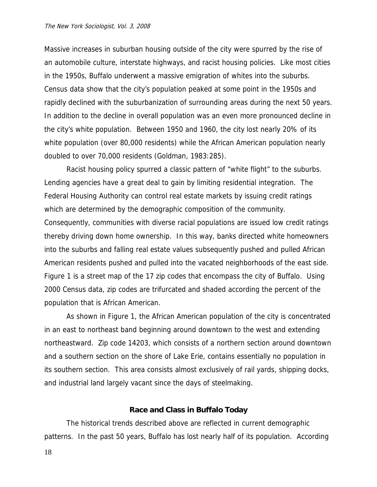#### The New York Sociologist, Vol. 3, 2008

Massive increases in suburban housing outside of the city were spurred by the rise of an automobile culture, interstate highways, and racist housing policies. Like most cities in the 1950s, Buffalo underwent a massive emigration of whites into the suburbs. Census data show that the city's population peaked at some point in the 1950s and rapidly declined with the suburbanization of surrounding areas during the next 50 years. In addition to the decline in overall population was an even more pronounced decline in the city's white population. Between 1950 and 1960, the city lost nearly 20% of its white population (over 80,000 residents) while the African American population nearly doubled to over 70,000 residents (Goldman, 1983:285).

Racist housing policy spurred a classic pattern of "white flight" to the suburbs. Lending agencies have a great deal to gain by limiting residential integration. The Federal Housing Authority can control real estate markets by issuing credit ratings which are determined by the demographic composition of the community. Consequently, communities with diverse racial populations are issued low credit ratings thereby driving down home ownership. In this way, banks directed white homeowners into the suburbs and falling real estate values subsequently pushed and pulled African American residents pushed and pulled into the vacated neighborhoods of the east side. Figure 1 is a street map of the 17 zip codes that encompass the city of Buffalo. Using 2000 Census data, zip codes are trifurcated and shaded according the percent of the population that is African American.

As shown in Figure 1, the African American population of the city is concentrated in an east to northeast band beginning around downtown to the west and extending northeastward. Zip code 14203, which consists of a northern section around downtown and a southern section on the shore of Lake Erie, contains essentially no population in its southern section. This area consists almost exclusively of rail yards, shipping docks, and industrial land largely vacant since the days of steelmaking.

### **Race and Class in Buffalo Today**

The historical trends described above are reflected in current demographic patterns. In the past 50 years, Buffalo has lost nearly half of its population. According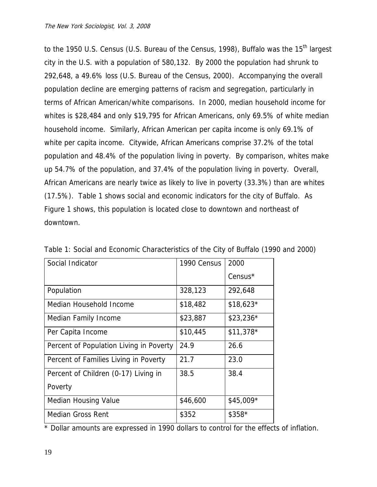to the 1950 U.S. Census (U.S. Bureau of the Census, 1998), Buffalo was the 15<sup>th</sup> largest city in the U.S. with a population of 580,132. By 2000 the population had shrunk to 292,648, a 49.6% loss (U.S. Bureau of the Census, 2000). Accompanying the overall population decline are emerging patterns of racism and segregation, particularly in terms of African American/white comparisons. In 2000, median household income for whites is \$28,484 and only \$19,795 for African Americans, only 69.5% of white median household income. Similarly, African American per capita income is only 69.1% of white per capita income. Citywide, African Americans comprise 37.2% of the total population and 48.4% of the population living in poverty. By comparison, whites make up 54.7% of the population, and 37.4% of the population living in poverty. Overall, African Americans are nearly twice as likely to live in poverty (33.3%) than are whites (17.5%). Table 1 shows social and economic indicators for the city of Buffalo. As Figure 1 shows, this population is located close to downtown and northeast of downtown.

| Social Indicator                        | 1990 Census | 2000                |
|-----------------------------------------|-------------|---------------------|
|                                         |             | Census <sup>*</sup> |
| Population                              | 328,123     | 292,648             |
| Median Household Income                 | \$18,482    | $$18,623*$          |
| Median Family Income                    | \$23,887    | $$23,236*$          |
| Per Capita Income                       | \$10,445    | $$11,378*$          |
| Percent of Population Living in Poverty | 24.9        | 26.6                |
| Percent of Families Living in Poverty   | 21.7        | 23.0                |
| Percent of Children (0-17) Living in    | 38.5        | 38.4                |
| Poverty                                 |             |                     |
| <b>Median Housing Value</b>             | \$46,600    | \$45,009*           |
| <b>Median Gross Rent</b>                | \$352       | \$358*              |

Table 1: Social and Economic Characteristics of the City of Buffalo (1990 and 2000)

\* Dollar amounts are expressed in 1990 dollars to control for the effects of inflation.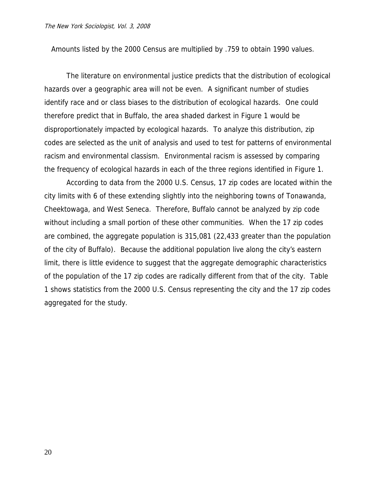Amounts listed by the 2000 Census are multiplied by .759 to obtain 1990 values.

The literature on environmental justice predicts that the distribution of ecological hazards over a geographic area will not be even. A significant number of studies identify race and or class biases to the distribution of ecological hazards. One could therefore predict that in Buffalo, the area shaded darkest in Figure 1 would be disproportionately impacted by ecological hazards. To analyze this distribution, zip codes are selected as the unit of analysis and used to test for patterns of environmental racism and environmental classism. Environmental racism is assessed by comparing the frequency of ecological hazards in each of the three regions identified in Figure 1.

According to data from the 2000 U.S. Census, 17 zip codes are located within the city limits with 6 of these extending slightly into the neighboring towns of Tonawanda, Cheektowaga, and West Seneca. Therefore, Buffalo cannot be analyzed by zip code without including a small portion of these other communities. When the 17 zip codes are combined, the aggregate population is 315,081 (22,433 greater than the population of the city of Buffalo). Because the additional population live along the city's eastern limit, there is little evidence to suggest that the aggregate demographic characteristics of the population of the 17 zip codes are radically different from that of the city. Table 1 shows statistics from the 2000 U.S. Census representing the city and the 17 zip codes aggregated for the study.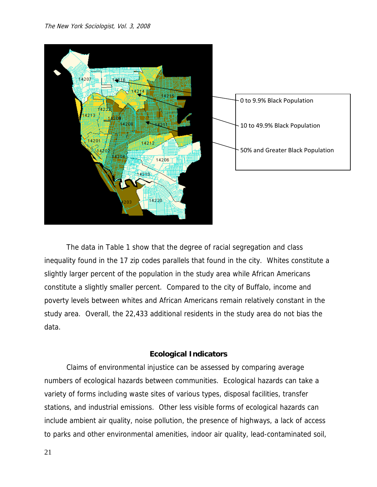

The data in Table 1 show that the degree of racial segregation and class inequality found in the 17 zip codes parallels that found in the city. Whites constitute a slightly larger percent of the population in the study area while African Americans constitute a slightly smaller percent. Compared to the city of Buffalo, income and poverty levels between whites and African Americans remain relatively constant in the study area. Overall, the 22,433 additional residents in the study area do not bias the data.

# **Ecological Indicators**

Claims of environmental injustice can be assessed by comparing average numbers of ecological hazards between communities. Ecological hazards can take a variety of forms including waste sites of various types, disposal facilities, transfer stations, and industrial emissions. Other less visible forms of ecological hazards can include ambient air quality, noise pollution, the presence of highways, a lack of access to parks and other environmental amenities, indoor air quality, lead-contaminated soil,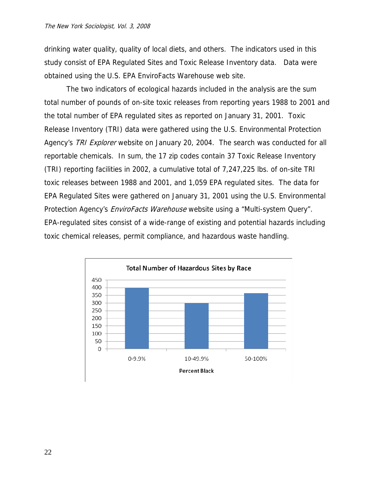drinking water quality, quality of local diets, and others. The indicators used in this study consist of EPA Regulated Sites and Toxic Release Inventory data. Data were obtained using the U.S. EPA EnviroFacts Warehouse web site.

The two indicators of ecological hazards included in the analysis are the sum total number of pounds of on-site toxic releases from reporting years 1988 to 2001 and the total number of EPA regulated sites as reported on January 31, 2001. Toxic Release Inventory (TRI) data were gathered using the U.S. Environmental Protection Agency's TRI Explorer website on January 20, 2004. The search was conducted for all reportable chemicals. In sum, the 17 zip codes contain 37 Toxic Release Inventory (TRI) reporting facilities in 2002, a cumulative total of 7,247,225 lbs. of on-site TRI toxic releases between 1988 and 2001, and 1,059 EPA regulated sites. The data for EPA Regulated Sites were gathered on January 31, 2001 using the U.S. Environmental Protection Agency's *EnviroFacts Warehouse* website using a "Multi-system Query". EPA-regulated sites consist of a wide-range of existing and potential hazards including toxic chemical releases, permit compliance, and hazardous waste handling.

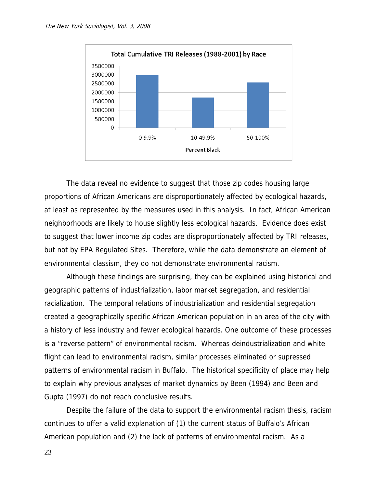

 The data reveal no evidence to suggest that those zip codes housing large proportions of African Americans are disproportionately affected by ecological hazards, at least as represented by the measures used in this analysis. In fact, African American neighborhoods are likely to house slightly less ecological hazards. Evidence does exist to suggest that lower income zip codes are disproportionately affected by TRI releases, but not by EPA Regulated Sites. Therefore, while the data demonstrate an element of environmental classism, they do not demonstrate environmental racism.

Although these findings are surprising, they can be explained using historical and geographic patterns of industrialization, labor market segregation, and residential racialization. The temporal relations of industrialization and residential segregation created a geographically specific African American population in an area of the city with a history of less industry and fewer ecological hazards. One outcome of these processes is a "reverse pattern" of environmental racism. Whereas deindustrialization and white flight can lead to environmental racism, similar processes eliminated or supressed patterns of environmental racism in Buffalo. The historical specificity of place may help to explain why previous analyses of market dynamics by Been (1994) and Been and Gupta (1997) do not reach conclusive results.

Despite the failure of the data to support the environmental racism thesis, racism continues to offer a valid explanation of (1) the current status of Buffalo's African American population and (2) the lack of patterns of environmental racism. As a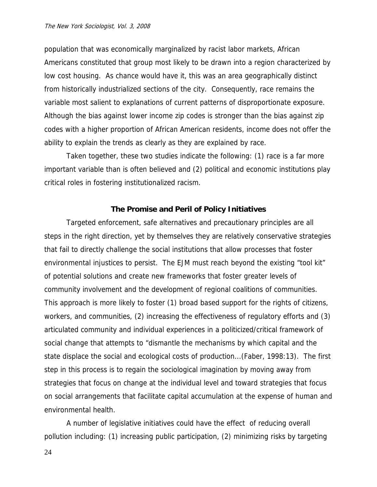population that was economically marginalized by racist labor markets, African Americans constituted that group most likely to be drawn into a region characterized by low cost housing. As chance would have it, this was an area geographically distinct from historically industrialized sections of the city. Consequently, race remains the variable most salient to explanations of current patterns of disproportionate exposure. Although the bias against lower income zip codes is stronger than the bias against zip codes with a higher proportion of African American residents, income does not offer the ability to explain the trends as clearly as they are explained by race.

Taken together, these two studies indicate the following: (1) race is a far more important variable than is often believed and (2) political and economic institutions play critical roles in fostering institutionalized racism.

### **The Promise and Peril of Policy Initiatives**

Targeted enforcement, safe alternatives and precautionary principles are all steps in the right direction, yet by themselves they are relatively conservative strategies that fail to directly challenge the social institutions that allow processes that foster environmental injustices to persist. The EJM must reach beyond the existing "tool kit" of potential solutions and create new frameworks that foster greater levels of community involvement and the development of regional coalitions of communities. This approach is more likely to foster (1) broad based support for the rights of citizens, workers, and communities, (2) increasing the effectiveness of regulatory efforts and (3) articulated community and individual experiences in a politicized/critical framework of social change that attempts to "dismantle the mechanisms by which capital and the state displace the social and ecological costs of production...(Faber, 1998:13). The first step in this process is to regain the sociological imagination by moving away from strategies that focus on change at the individual level and toward strategies that focus on social arrangements that facilitate capital accumulation at the expense of human and environmental health.

A number of legislative initiatives could have the effect of reducing overall pollution including: (1) increasing public participation, (2) minimizing risks by targeting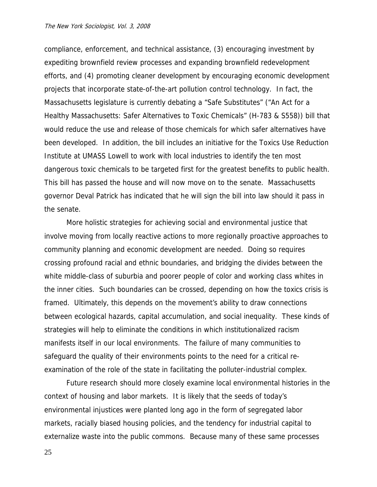#### The New York Sociologist, Vol. 3, 2008

compliance, enforcement, and technical assistance, (3) encouraging investment by expediting brownfield review processes and expanding brownfield redevelopment efforts, and (4) promoting cleaner development by encouraging economic development projects that incorporate state-of-the-art pollution control technology. In fact, the Massachusetts legislature is currently debating a "Safe Substitutes" ("An Act for a Healthy Massachusetts: Safer Alternatives to Toxic Chemicals" (H-783 & S558)) bill that would reduce the use and release of those chemicals for which safer alternatives have been developed. In addition, the bill includes an initiative for the Toxics Use Reduction Institute at UMASS Lowell to work with local industries to identify the ten most dangerous toxic chemicals to be targeted first for the greatest benefits to public health. This bill has passed the house and will now move on to the senate. Massachusetts governor Deval Patrick has indicated that he will sign the bill into law should it pass in the senate.

More holistic strategies for achieving social and environmental justice that involve moving from locally reactive actions to more regionally proactive approaches to community planning and economic development are needed. Doing so requires crossing profound racial and ethnic boundaries, and bridging the divides between the white middle-class of suburbia and poorer people of color and working class whites in the inner cities. Such boundaries can be crossed, depending on how the toxics crisis is framed. Ultimately, this depends on the movement's ability to draw connections between ecological hazards, capital accumulation, and social inequality. These kinds of strategies will help to eliminate the conditions in which institutionalized racism manifests itself in our local environments. The failure of many communities to safeguard the quality of their environments points to the need for a critical reexamination of the role of the state in facilitating the polluter-industrial complex.

Future research should more closely examine local environmental histories in the context of housing and labor markets. It is likely that the seeds of today's environmental injustices were planted long ago in the form of segregated labor markets, racially biased housing policies, and the tendency for industrial capital to externalize waste into the public commons. Because many of these same processes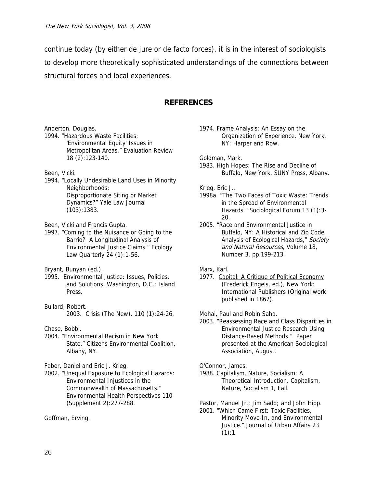continue today (by either de jure or de facto forces), it is in the interest of sociologists to develop more theoretically sophisticated understandings of the connections between structural forces and local experiences.

## **REFERENCES**

- Anderton, Douglas.
- 1994. "Hazardous Waste Facilities: 'Environmental Equity' Issues in Metropolitan Areas." Evaluation Review 18 (2):123-140.
- Been, Vicki.
- 1994. "Locally Undesirable Land Uses in Minority Neighborhoods: Disproportionate Siting or Market Dynamics?" Yale Law Journal (103):1383.
- Been, Vicki and Francis Gupta.
- 1997. "Coming to the Nuisance or Going to the Barrio? A Longitudinal Analysis of Environmental Justice Claims." Ecology Law Quarterly 24 (1):1-56.

Bryant, Bunyan (ed.).

- 1995. Environmental Justice: Issues, Policies, and Solutions. Washington, D.C.: Island Press.
- Bullard, Robert. 2003. Crisis (The New). 110 (1):24-26.

Chase, Bobbi.

- 2004. "Environmental Racism in New York State," Citizens Environmental Coalition, Albany, NY.
- Faber, Daniel and Eric J. Krieg.
- 2002. "Unequal Exposure to Ecological Hazards: Environmental Injustices in the Commonwealth of Massachusetts." Environmental Health Perspectives 110 (Supplement 2):277-288.

Goffman, Erving.

1974. Frame Analysis: An Essay on the Organization of Experience. New York, NY: Harper and Row.

Goldman, Mark.

1983. High Hopes: The Rise and Decline of Buffalo, New York, SUNY Press, Albany.

Krieg, Eric J..

- 1998a. "The Two Faces of Toxic Waste: Trends in the Spread of Environmental Hazards." Sociological Forum 13 (1):3- 20.
- 2005. "Race and Environmental Justice in Buffalo, NY: A Historical and Zip Code Analysis of Ecological Hazards," Society and Natural Resources, Volume 18, Number 3, pp.199-213.

1977. Capital: A Critique of Political Economy (Frederick Engels, ed.), New York: International Publishers (Original work published in 1867).

Mohai, Paul and Robin Saha.

2003. "Reassessing Race and Class Disparities in Environmental Justice Research Using Distance-Based Methods." Paper presented at the American Sociological Association, August.

O'Connor, James.

1988. Capitalism, Nature, Socialism: A Theoretical Introduction. Capitalism, Nature, Socialism 1, Fall.

Pastor, Manuel Jr.; Jim Sadd; and John Hipp.

2001. "Which Came First: Toxic Facilities, Minority Move-In, and Environmental Justice." Journal of Urban Affairs 23  $(1):1.$ 

Marx, Karl.